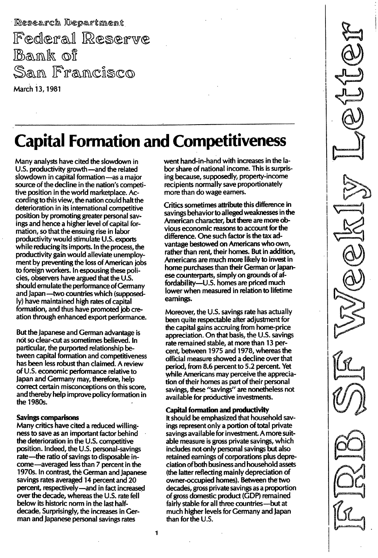Research Department Federal Reserve Bank of San Francisco March 13, 1981

# **Capital Formation and Competitiveness**

Many analysts have cited the slowdown in U.S. productivity growth — and the related slowdown in capital formation - as a major source of the decline in the nation's competitive position in the world marketplace. According to this view, the nation could halt the deterioration in its international competitive position by promoting greater personal savings and hence a higher level of capital formation, so that the ensuing rise in labor productivity would stimulate U.S. exports while reducing its imports. In the process, the productivity gain would alleviate unemployment by preventing the loss of American jobs to foreign workers. In espousing these policies, observers have argued that the U.5. should emulate the performance of Germany and Japan-two countries which (supposedly) have maintained high rates of capital formation, and thus have promoted job creation through enhanced export performance.

But the Japanese and German advantage is not so clear-cut as sometimes believed. In particular, the purported relationship between capital formation and competitiveness has been less robust than claimed. A review of U.5. economic performance relative to Japan and Germany may, therefore, help correct certain misconceptions on this score, and thereby help improve policy formation in the 1980s.

#### Savings comparisons

Many critics have cited a reduced willingness to save as an important factor behind the deterioration in the U.S. competitive position. Indeed, the U.S. personal-savings rate-the ratio of savings to disposable income-averaged less than 7 percent in the 1970s. In contrast, the German and Japanese savings rates averaged 14 percent and 20 percent, respectively-and in fact increased over the decade, whereas the U.S. rate fell below its historic norm in the last halfdecade. Surprisingly, the increases in German and Japanese personal savings rates

went hand-in-hand with increases in the labor share of national income. This is surprising because, supposedly, property-income recipients normally save proportionately more than do wage earners.

Critics sometimes attribute this difference in savings behavior to alleged weaknesses in the American character, but there are more obvious economic reasons to account for the difference. One such factor is the tax advantage bestowed on Americans who own, rather than rent, their homes. But in addition, Americans are much more likely to invest in home purchases than their German or Japanese counterparts, simply on grounds of affordability-U.5. homes are priced much lower when measured in relation to lifetime earnings.

Moreover, the U.S. savings rate has actually been quite respectable after adjustment for the capital gains accruing from home-price appreciation. On that basis, the U.S. savings rate remained stable, at more than 13 percent, between 1975 and 1978, whereas the official measure showed a decline over that period, from 8.6 percent to 5.2 percent. Yet while Americans may perceive the appreciation of their homes as part of their personal savings, these "savings" are nonetheless not available for productive investments.

#### Capital formation and productivity

It should be emphasized that household savings represent only a portion of total private savings available for investment. A more suitable measure is gross private savings, which includes not-only personal savings but also retained earnings of corporations plus depreciation of both business and household assets (the latter reflecting mainly depreciation of owner-occupied homes). Between the two decades, gross private savings as a proportion of gross domestic product (GOP) remained fairly stable for all three countries-but at much higher levels for Germany and Japan than for the U.S.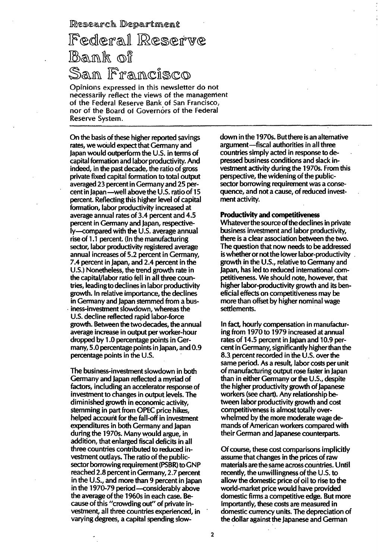Research Department

## Federal Reserve Bank of San Francisco

Opinions expressed in this newsletter do not necessarilv reflect the views of the managenient of the Federal Reserve Bank of San Francisco, nor of the Board of Governors of the Federal Reserve System.

On the basis of these higher reported savings rates, we would expect that Germany and Japan would outperform the U.S. in terms of capital formation and labor productivity. And indeed, in the past decade, the ratio of gross private fixed capital formation to total output averaged 23 percent in Germany and 25 percent in Japan-well above the U.s. ratio of 15 percent. Reflecting this higher level of capital formation, labor productivity increased at average annual rates of 3.4 percent and 4.5 percent in Germany and Japan, respectively-compared with the U.S. average annual rise of 1.1 percent. (In the manufacturing sector, labor productivity registered average annual increases of 5.2 percent in Germany, 7.4 percent in Japan, and 2.4 percent in the U.S.) Nonetheless, the trend growth rate in the capital/labor ratio fell in all three countries, leadingto declines in labor productivity growth. In relative importance, the declines in Germany and Japan stemmed from a bus iness-investment slowdown, whereas the U.S. decline reflected rapid labor-force growth. Between the two decades, the annual average increase in output per worker-hour dropped by 1.0 percentage points in Germany, 5.0 percentage points in Japan, and 0.9 percentage points in the U.S.

The business-investment slowdown in both Germany and Japan reflected a myriad of factors, including an accelerator response of investment to changes in output levels. The diminished growth in economic activity, stemming in part from OPEC price hikes, helped account for the fall-off in investment expenditures in both Germany and Japan during the 1970s. Many would argue, in addition, that enlarged fiscal deficits in all three countries contributed to reduced investment outlays. The ratio of the publicsector borrowing requirement (PSBR) to GNP reached 2.8 percent in Germany, 2.7 percent in the U.S., and more than 9 percent in Japan in the 1970-79 period-considerably above the average of the 1960s in each case. Because of this "crowding out" of private investment, all three countries experienced, in varying degrees, a capital spending slowdown in the 1970s. But there is an alternative argument-fiscal authorities in all three countries simply acted in response to depressed business conditions and slack investment activity during the 1970s. From this perspective, the widening of the publicsector borrowing requirement was a consequence, and not a cause, of reduced investment activity.

#### Productivity and competitiveness

Whatever the source of the declines in private business investment and labor productivity, there is a clear association between the two. The question that now needs to be addressed is whether or notthe lower labor-productivity growth in the U.S., relative to Germany and Japan, has led to reduced international competitiveness. We should note, however, that higher labor-productivity growth and its beneficial effects on competitiveness may be more than offset by higher nominal wage settlements.

In fact, hourly compensation in manufacturing from 1970 to 1979 increased at annual rates of 14.5 percent in Japan and 10.9 percent in Germany, significantly higher than the 8.3 percent recorded in the U.S. over the same period. As a result, labor costs per unit of manufacturing output rose faster in Japan than in either Germany or the U.s., despite the higher productivity growth of Japanese workers (see chart). Any relationship between labor productivity growth and cost competitiveness is almost totally overwhelmed by the more moderate wage demands of American workers compared with their German and Japanese counterparts.

Of course, these cost comparisons implicitly assume that changes in the prices of raw materials are the same across countries. Until recently, the unwillingness of the  $U.S.$  to allow the domestic price of oil to rise to the world-market price would have provided domestic firms a competitive edge. But more importantly, these costs are measured in domestic currency units. The depreciation of the dollar against the Japanese and German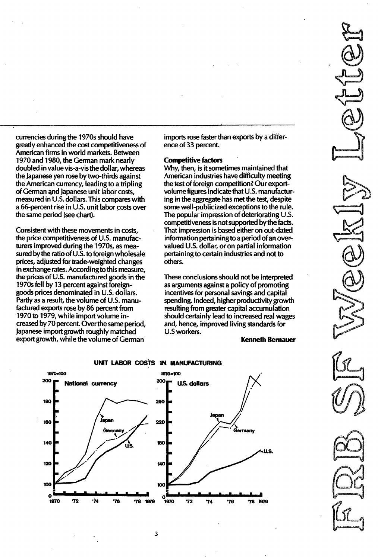currencies during the 1970s should have greatly enhanced the cost competitiveness of American firms in world markets. Between 1970 and 1980, the German mark nearly doubled in value vis-a-vis the dollar, whereas the Japanese yen rose by two-thirds against the American currency, leading to a tripling of German qnd Japanese unit labor costs, measured in U.S. dollars. This compares with a 66-percent rise in U.S. unit labor costs over the same period (see chart).

Consistent with these movements in costs, the price competitiveness of U.S. manufacturers improved during the 1970s, as measured by the ratio of  $U.S.$  to foreign wholesale prices, adjusted for trade-weighted changes in exchange rates. According to this measure, the prices of  $U.S.$  manufactured goods in the 1970s fell by 13 percent against foreigngoods prices denominated in U.S. dollars. Partly as a result, the volume of U.S. manufactured exports rose by 86 percent from 1970 to 1979, while import volume increased by 70 percent. Overthe same period, Japanese import growth roughly matched export growth, while the volume of German

imports rose faster than exports by a difference of 33 percent.

#### Competitive factors

Why, then, is it sometimes maintained that American industries have difficulty meeting the test of foreign competition? Our exportvolume figures indicate that U. S. manufacturing in the aggregate has met the test, despite some well-publicized exceptions to the rule. The popular impression of deteriorating U.S. competitiveness is not supported by the facts. That impression is based either on out-dated information pertainingto a period of an overvalued U.S. dollar, or on partial information pertaining to certain industries and not to others.

These conclusions should not be interpreted as arguments against a policy of promoting incentives for personal savings and capital spending. Indeed, higher productivity growth resulting from greater capital accumulation should certainly lead to increased real wages and, hence, improved living standards for U.S workers.

#### Kenneth Bernauer





3